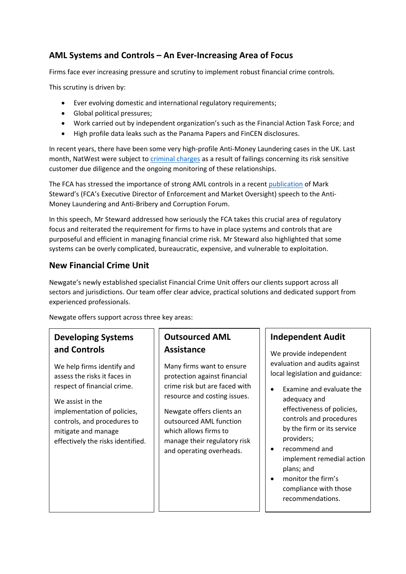### **AML Systems and Controls – An Ever-Increasing Area of Focus**

Firms face ever increasing pressure and scrutiny to implement robust financial crime controls.

This scrutiny is driven by:

- Ever evolving domestic and international regulatory requirements;
- Global political pressures;
- Work carried out by independent organization's such as the Financial Action Task Force; and
- High profile data leaks such as the Panama Papers and FinCEN disclosures.

In recent years, there have been some very high-profile Anti-Money Laundering cases in the UK. Last month, NatWest were subject to [criminal charges](https://www.fca.org.uk/news/press-releases/fca-starts-criminal-proceedings-against-natwest-plc) as a result of failings concerning its risk sensitive customer due diligence and the ongoing monitoring of these relationships.

The FCA has stressed the importance of strong AML controls in a recent [publication](https://www.fca.org.uk/news/speeches/importance-purposeful-anti-money-laundering-controls) of Mark Steward's (FCA's Executive Director of Enforcement and Market Oversight) speech to the Anti-Money Laundering and Anti-Bribery and Corruption Forum.

In this speech, Mr Steward addressed how seriously the FCA takes this crucial area of regulatory focus and reiterated the requirement for firms to have in place systems and controls that are purposeful and efficient in managing financial crime risk. Mr Steward also highlighted that some systems can be overly complicated, bureaucratic, expensive, and vulnerable to exploitation.

### **New Financial Crime Unit**

Newgate's newly established specialist Financial Crime Unit offers our clients support across all sectors and jurisdictions. Our team offer clear advice, practical solutions and dedicated support from experienced professionals.

Newgate offers support across three key areas:

## **Developing Systems and Controls**

We help firms identify and assess the risks it faces in respect of financial crime.

We assist in the implementation of policies, controls, and procedures to mitigate and manage effectively the risks identified.

# **Outsourced AML Assistance**

Many firms want to ensure protection against financial crime risk but are faced with resource and costing issues.

Newgate offers clients an outsourced AML function which allows firms to manage their regulatory risk and operating overheads.

#### **Independent Audit**

We provide independent evaluation and audits against local legislation and guidance:

- Examine and evaluate the adequacy and effectiveness of policies, controls and procedures by the firm or its service providers;
- recommend and implement remedial action plans; and
- monitor the firm's compliance with those recommendations.